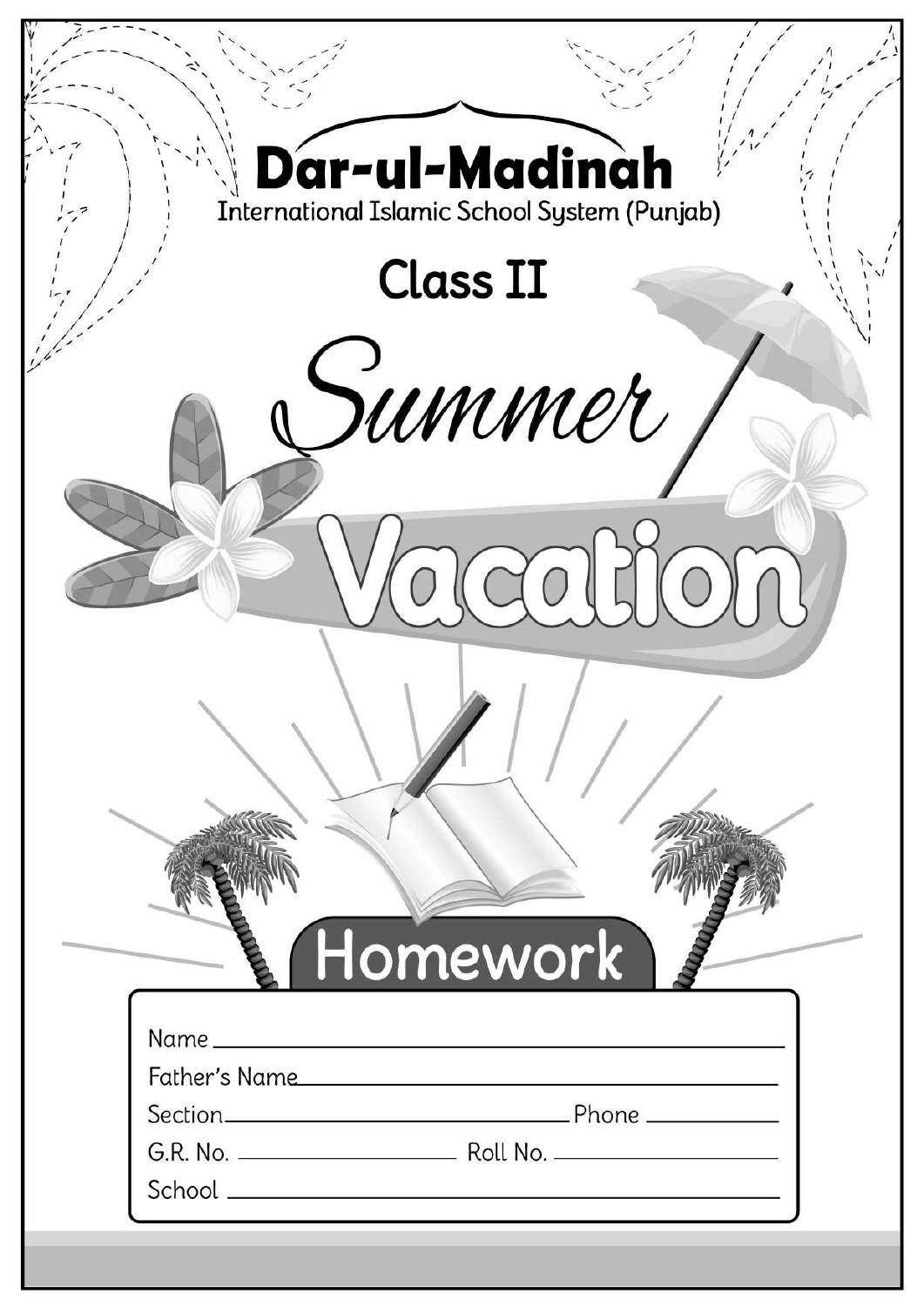| Dar-ul-Madinah<br>International Islamic School System (Punjab) |  |
|----------------------------------------------------------------|--|
| <b>Class II</b>                                                |  |
| summer                                                         |  |
|                                                                |  |
|                                                                |  |
|                                                                |  |
| Homework                                                       |  |
| Father's Name                                                  |  |
|                                                                |  |
|                                                                |  |
|                                                                |  |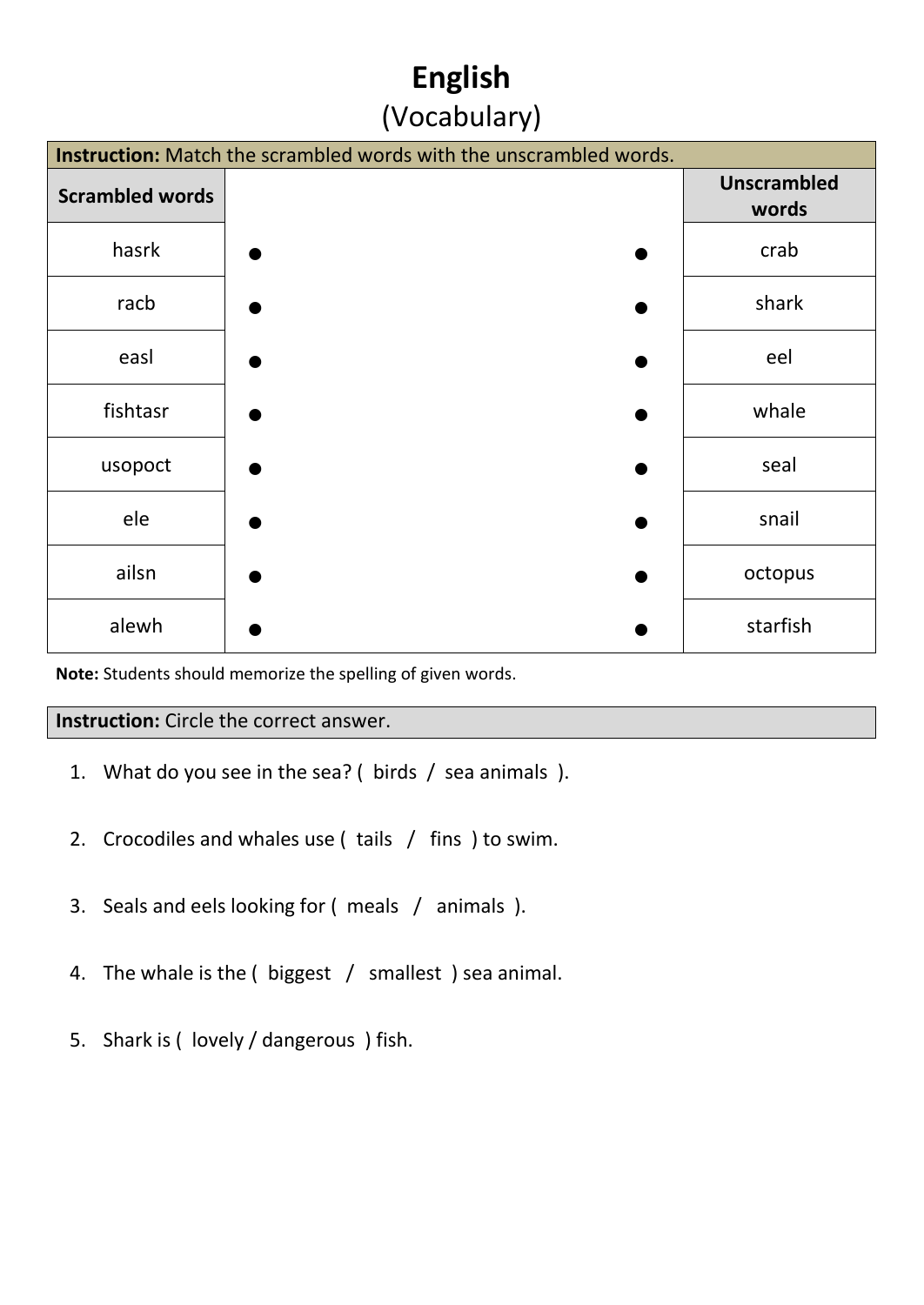# **English** (Vocabulary)

| Instruction: Match the scrambled words with the unscrambled words. |  |                             |  |  |  |  |  |
|--------------------------------------------------------------------|--|-----------------------------|--|--|--|--|--|
| <b>Scrambled words</b>                                             |  | <b>Unscrambled</b><br>words |  |  |  |  |  |
| hasrk                                                              |  | crab                        |  |  |  |  |  |
| racb                                                               |  | shark                       |  |  |  |  |  |
| easl                                                               |  | eel                         |  |  |  |  |  |
| fishtasr                                                           |  | whale                       |  |  |  |  |  |
| usopoct                                                            |  | seal                        |  |  |  |  |  |
| ele                                                                |  | snail                       |  |  |  |  |  |
| ailsn                                                              |  | octopus                     |  |  |  |  |  |
| alewh                                                              |  | starfish                    |  |  |  |  |  |

**Note:** Students should memorize the spelling of given words.

#### **Instruction:** Circle the correct answer.

- 1. What do you see in the sea? ( birds / sea animals ).
- 2. Crocodiles and whales use ( tails / fins ) to swim.
- 3. Seals and eels looking for ( meals / animals ).
- 4. The whale is the ( biggest / smallest ) sea animal.
- 5. Shark is ( lovely / dangerous ) fish.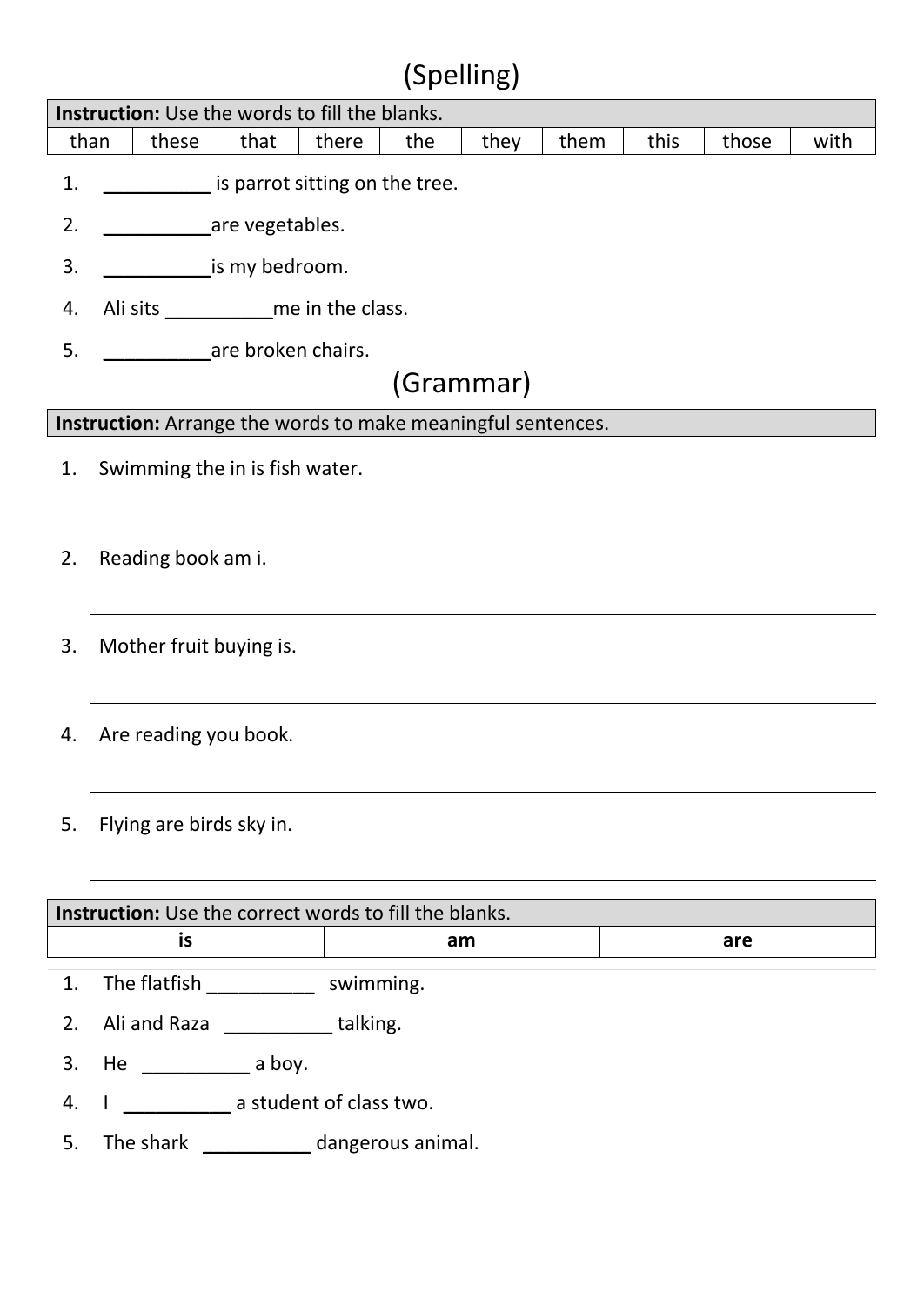# (Spelling)

|    | <b>Instruction:</b> Use the words to fill the blanks.                          |                    |                                                              |  |  |           |  |  |     |  |  |
|----|--------------------------------------------------------------------------------|--------------------|--------------------------------------------------------------|--|--|-----------|--|--|-----|--|--|
|    | these<br>this<br>than<br>that<br>there<br>the<br>they<br>them<br>those<br>with |                    |                                                              |  |  |           |  |  |     |  |  |
| 1. |                                                                                |                    | is parrot sitting on the tree.                               |  |  |           |  |  |     |  |  |
| 2. |                                                                                |                    | are vegetables.                                              |  |  |           |  |  |     |  |  |
| 3. |                                                                                |                    | is my bedroom.                                               |  |  |           |  |  |     |  |  |
| 4. |                                                                                |                    | Ali sits ______________ me in the class.                     |  |  |           |  |  |     |  |  |
| 5. |                                                                                |                    | are broken chairs.                                           |  |  |           |  |  |     |  |  |
|    |                                                                                |                    |                                                              |  |  | (Grammar) |  |  |     |  |  |
|    |                                                                                |                    | Instruction: Arrange the words to make meaningful sentences. |  |  |           |  |  |     |  |  |
| 1. |                                                                                |                    | Swimming the in is fish water.                               |  |  |           |  |  |     |  |  |
| 2. |                                                                                | Reading book am i. |                                                              |  |  |           |  |  |     |  |  |
| 3. |                                                                                |                    | Mother fruit buying is.                                      |  |  |           |  |  |     |  |  |
| 4. |                                                                                |                    | Are reading you book.                                        |  |  |           |  |  |     |  |  |
| 5. | Flying are birds sky in.                                                       |                    |                                                              |  |  |           |  |  |     |  |  |
|    | <b>Instruction:</b> Use the correct words to fill the blanks.                  |                    |                                                              |  |  |           |  |  |     |  |  |
|    |                                                                                | is                 |                                                              |  |  | am        |  |  | are |  |  |
| 1. |                                                                                |                    | The flatfish _______________ swimming.                       |  |  |           |  |  |     |  |  |
| 2. |                                                                                |                    | Ali and Raza _____________talking.                           |  |  |           |  |  |     |  |  |
| 3. |                                                                                |                    |                                                              |  |  |           |  |  |     |  |  |

- 4. I \_\_\_\_\_\_\_\_\_\_\_\_\_\_\_ a student of class two.
- 5. The shark \_\_\_\_\_\_\_\_\_\_\_\_ dangerous animal.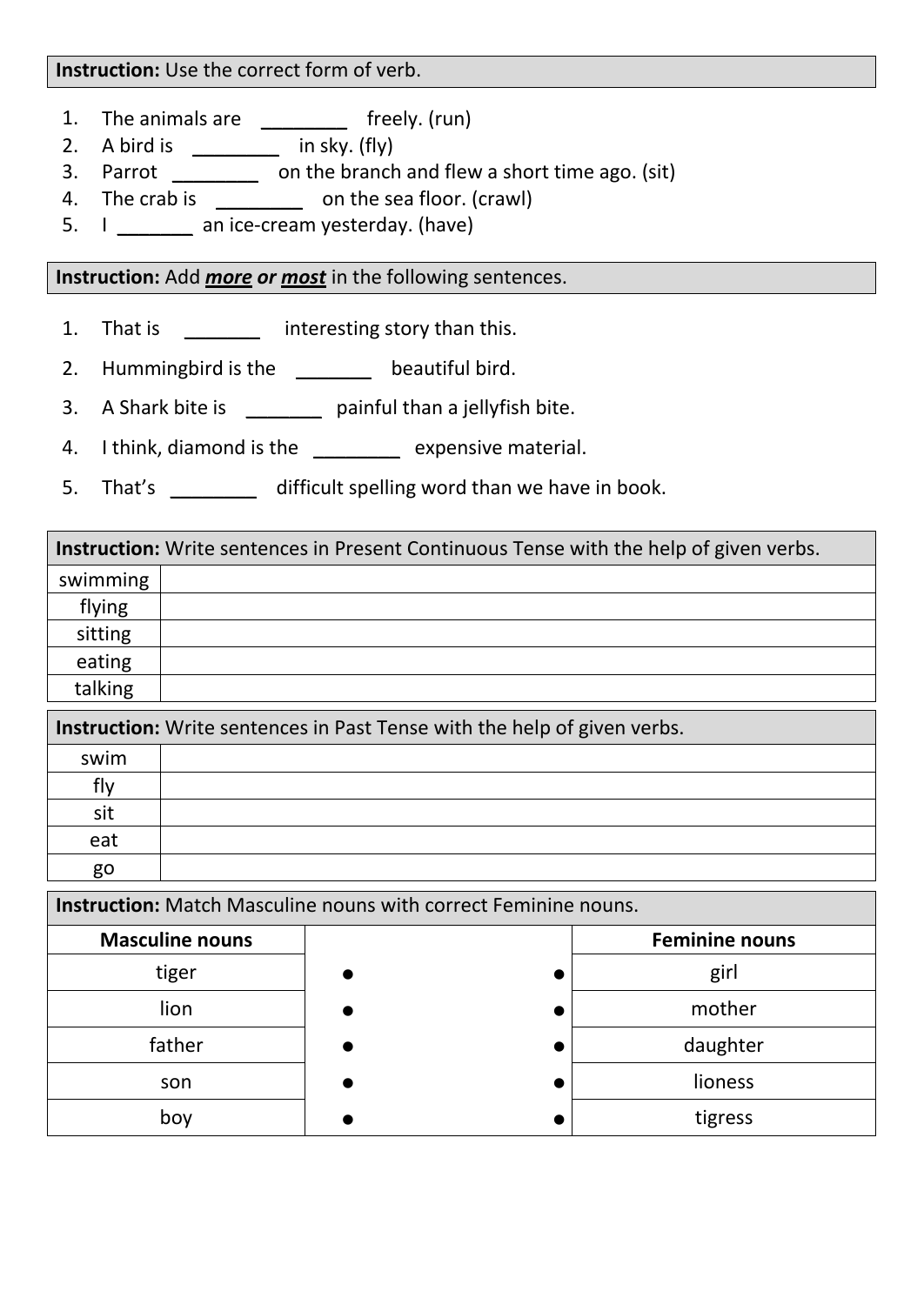#### **Instruction:** Use the correct form of verb.

- 1. The animals are \_\_\_\_\_\_\_\_\_\_ freely. (run)
- 2. A bird is  $\frac{1}{\sqrt{2\pi}}$  in sky. (fly)
- 3. Parrot \_\_\_\_\_\_\_\_ on the branch and flew a short time ago. (sit)
- 4. The crab is \_\_\_\_\_\_\_\_\_\_ on the sea floor. (crawl)
- 5. I \_\_\_\_\_\_\_\_ an ice-cream yesterday. (have)

#### **Instruction:** Add *more or most* in the following sentences.

- 1. That is **interesting story than this.**
- 2. Hummingbird is the \_\_\_\_\_\_\_\_ beautiful bird.
- 3. A Shark bite is \_\_\_\_\_\_\_\_ painful than a jellyfish bite.
- 4. I think, diamond is the \_\_\_\_\_\_\_\_ expensive material.
- 5. That's difficult spelling word than we have in book.

### **Instruction:** Write sentences in Present Continuous Tense with the help of given verbs. swimming flying sitting eating talking

| <b>Instruction:</b> Write sentences in Past Tense with the help of given verbs. |  |  |  |  |  |  |
|---------------------------------------------------------------------------------|--|--|--|--|--|--|
| swim                                                                            |  |  |  |  |  |  |
| flv                                                                             |  |  |  |  |  |  |
| sit                                                                             |  |  |  |  |  |  |
| eat                                                                             |  |  |  |  |  |  |
| go                                                                              |  |  |  |  |  |  |

**Instruction:** Match Masculine nouns with correct Feminine nouns.

| <b>Masculine nouns</b> | <b>Feminine nouns</b> |
|------------------------|-----------------------|
| tiger                  | girl                  |
| lion                   | mother                |
| father                 | daughter              |
| son                    | lioness               |
| boy                    | tigress               |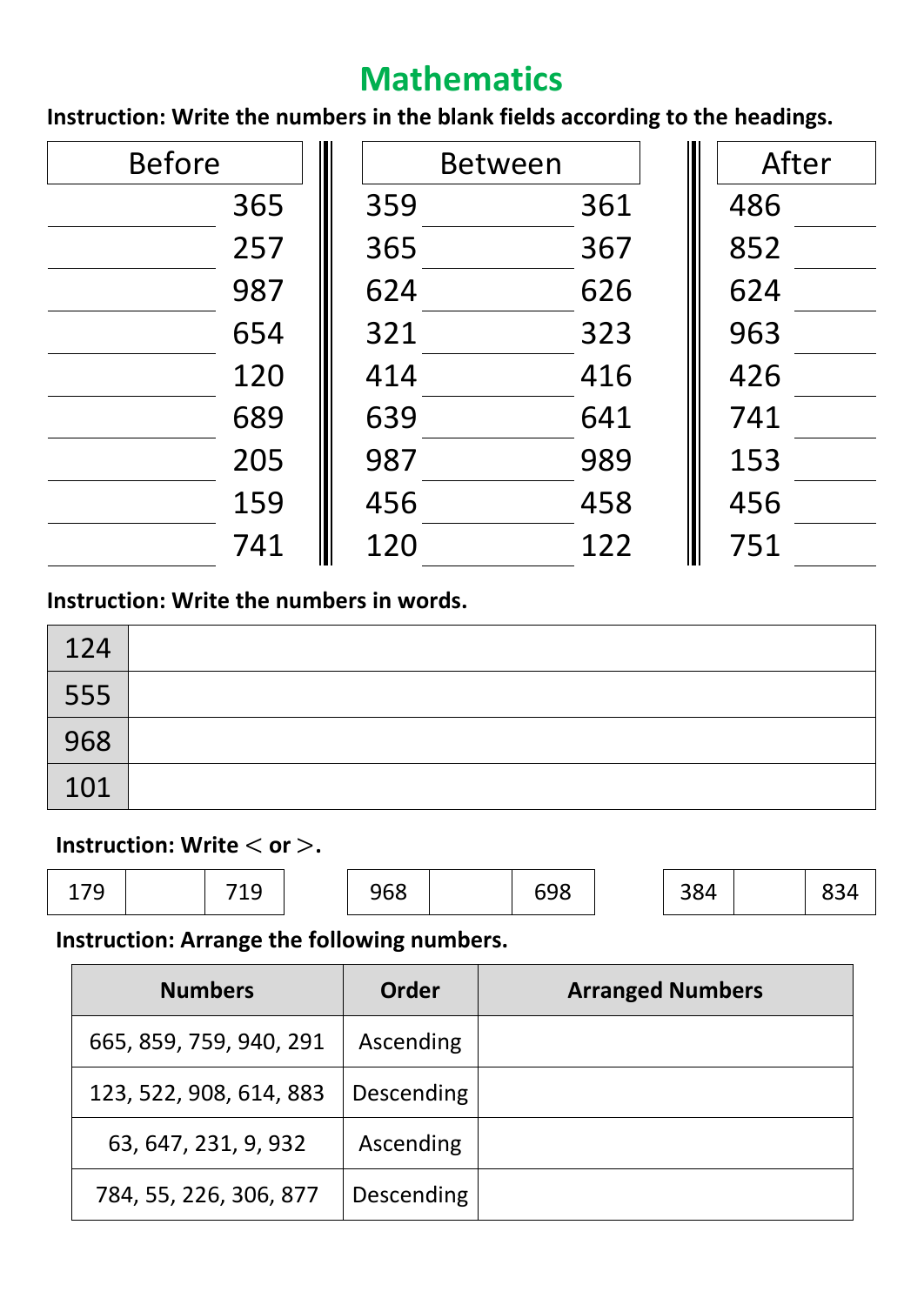# **Mathematics**

**Instruction: Write the numbers in the blank fields according to the headings.**

| <b>Before</b> |     | <b>Between</b> | After |
|---------------|-----|----------------|-------|
| 365           | 359 | 361            | 486   |
| 257           | 365 | 367            | 852   |
| 987           | 624 | 626            | 624   |
| 654           | 321 | 323            | 963   |
| 120           | 414 | 416            | 426   |
| 689           | 639 | 641            | 741   |
| 205           | 987 | 989            | 153   |
| 159           | 456 | 458            | 456   |
| 741           | 120 | 122            | 751   |

### **Instruction: Write the numbers in words.**

| 124 |  |
|-----|--|
| 555 |  |
| 968 |  |
| 101 |  |

#### **Instruction: Write**  $<$  **or**  $>$ **.**

| 179<br>ᅩᅵノ | 719 | 968 | 698 | 384 | 834 |
|------------|-----|-----|-----|-----|-----|
|            |     |     |     |     |     |

### **Instruction: Arrange the following numbers.**

| <b>Numbers</b>          | Order      | <b>Arranged Numbers</b> |
|-------------------------|------------|-------------------------|
| 665, 859, 759, 940, 291 | Ascending  |                         |
| 123, 522, 908, 614, 883 | Descending |                         |
| 63, 647, 231, 9, 932    | Ascending  |                         |
| 784, 55, 226, 306, 877  | Descending |                         |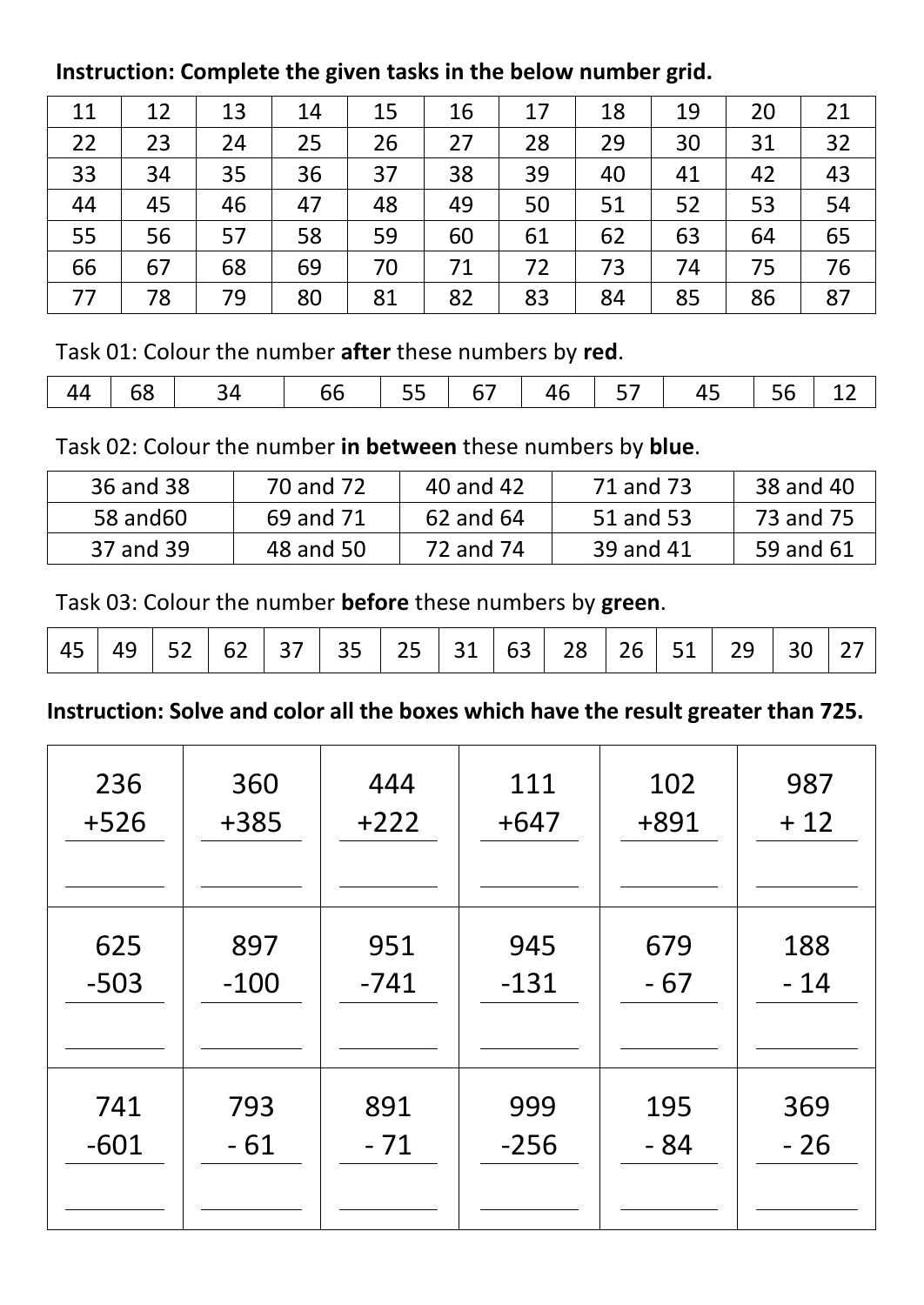### **Instruction: Complete the given tasks in the below number grid.**

| 11 | 12 | 13 | 14 | 15 | 16 | 17 | 18 | 19 | 20 | 21 |
|----|----|----|----|----|----|----|----|----|----|----|
| 22 | 23 | 24 | 25 | 26 | 27 | 28 | 29 | 30 | 31 | 32 |
| 33 | 34 | 35 | 36 | 37 | 38 | 39 | 40 | 41 | 42 | 43 |
| 44 | 45 | 46 | 47 | 48 | 49 | 50 | 51 | 52 | 53 | 54 |
| 55 | 56 | 57 | 58 | 59 | 60 | 61 | 62 | 63 | 64 | 65 |
| 66 | 67 | 68 | 69 | 70 | 71 | 72 | 73 | 74 | 75 | 76 |
| 77 | 78 | 79 | 80 | 81 | 82 | 83 | 84 | 85 | 86 | 87 |

Task 01: Colour the number **after** these numbers by **red**.

| 44 |  | $\overline{c}$ |  | $146$ 57 | 45 + | $\vert$ 56 $\vert$ |  |
|----|--|----------------|--|----------|------|--------------------|--|

Task 02: Colour the number **in between** these numbers by **blue**.

| 36 and 38 | 70 and 72 | 40 and 42 | 71 and 73 | 38 and 40 |
|-----------|-----------|-----------|-----------|-----------|
| 58 and 60 | 69 and 71 | 62 and 64 | 51 and 53 | 73 and 75 |
| 37 and 39 | 48 and 50 | 72 and 74 | 39 and 41 | 59 and 61 |

Task 03: Colour the number **before** these numbers by **green**.

|  |  |  |  |  |  |  |  |  |  |  |  | 45   49   52   62   37   35   25   31   63   28   26   51   29   30   27 |  |  |
|--|--|--|--|--|--|--|--|--|--|--|--|--------------------------------------------------------------------------|--|--|
|--|--|--|--|--|--|--|--|--|--|--|--|--------------------------------------------------------------------------|--|--|

**Instruction: Solve and color all the boxes which have the result greater than 725.**

| 236    | 360    | 444    | 111    | 102   | 987   |
|--------|--------|--------|--------|-------|-------|
| $+526$ | +385   | $+222$ | $+647$ | +891  | $+12$ |
| 625    | 897    | 951    | 945    | 679   | 188   |
| $-503$ | $-100$ | $-741$ | $-131$ | $-67$ | $-14$ |
| 741    | 793    | 891    | 999    | 195   | 369   |
| $-601$ | - 61   | $-71$  | $-256$ | - 84  | $-26$ |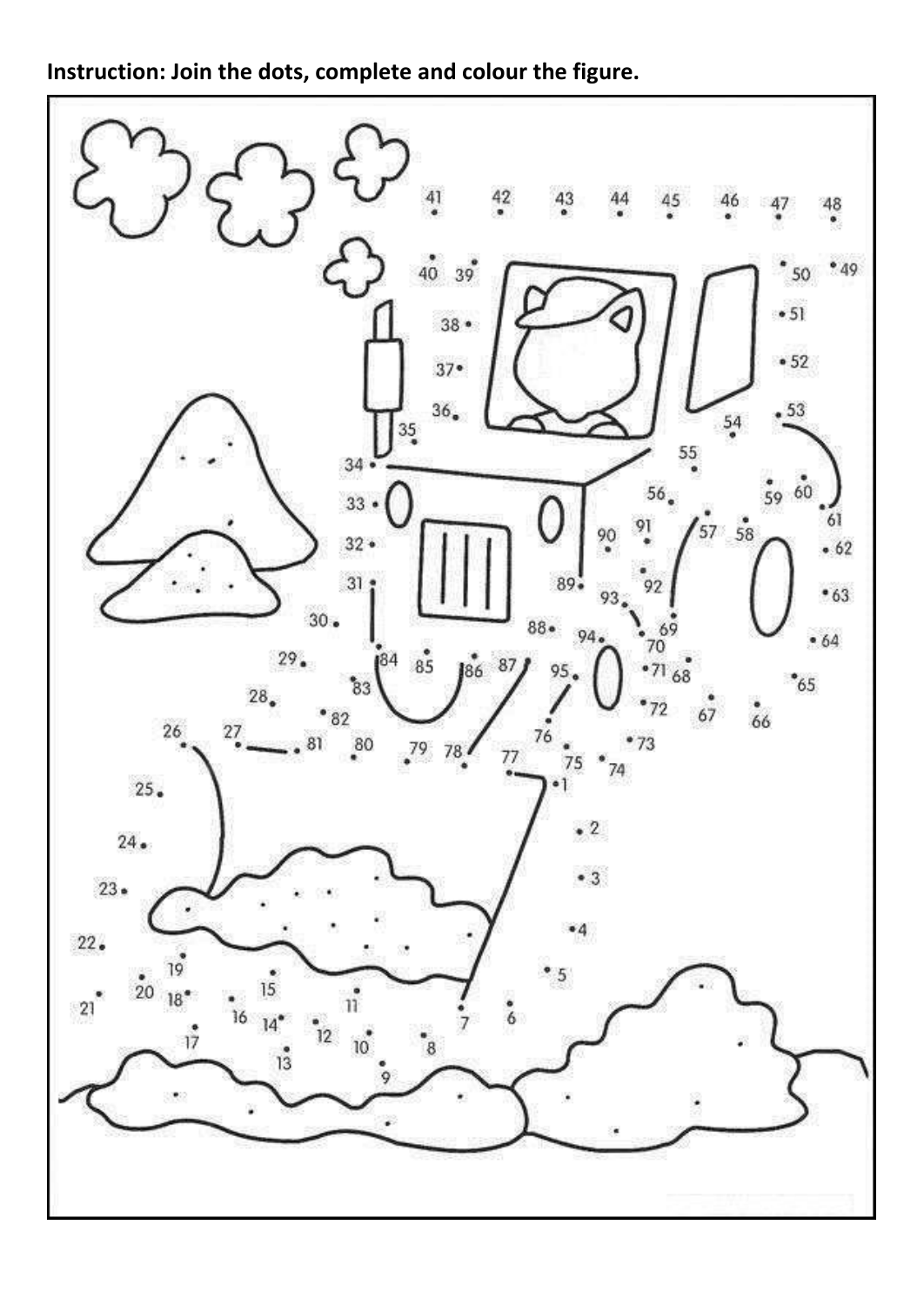**Instruction: Join the dots, complete and colour the figure.**

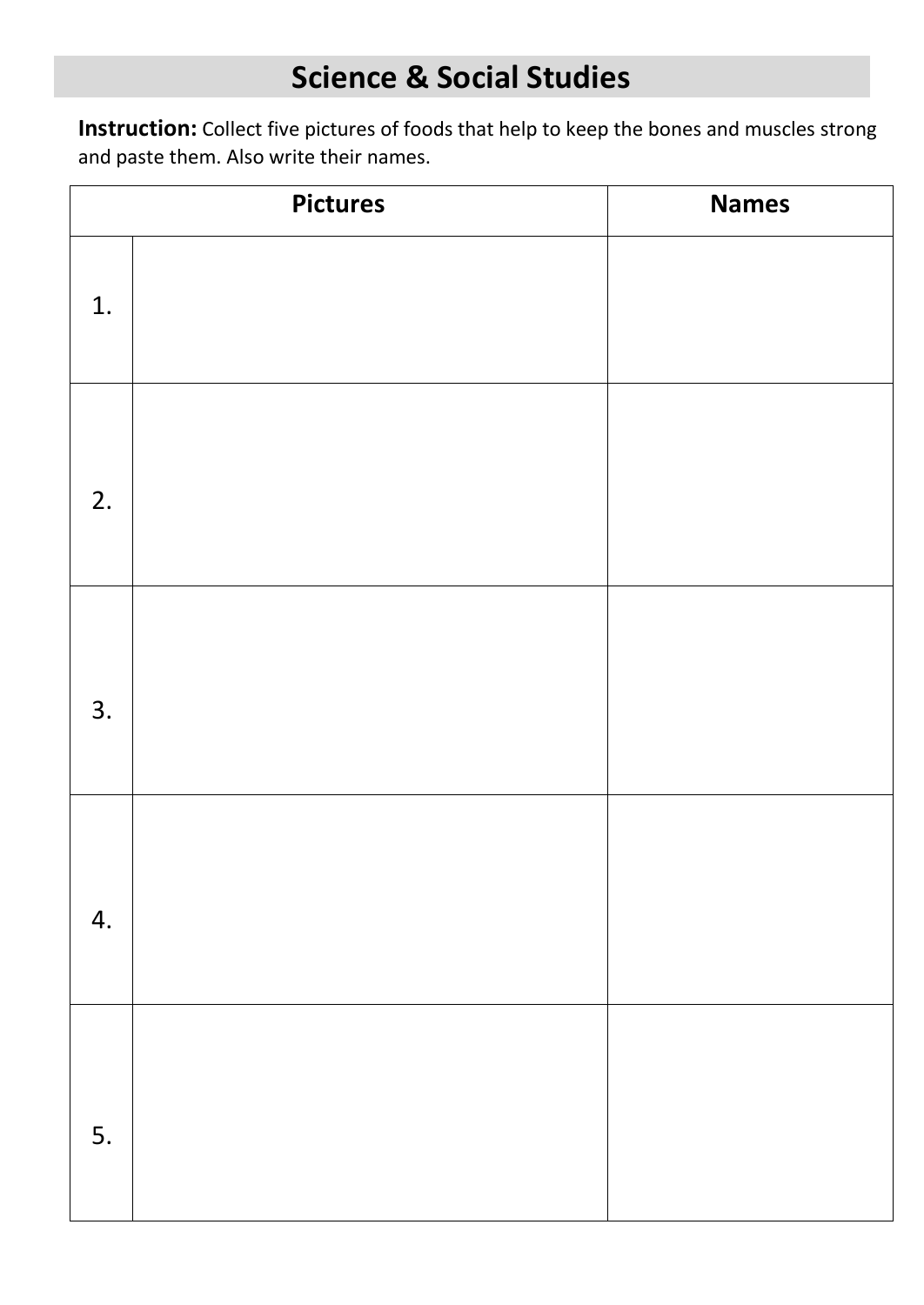# **Science & Social Studies**

**Instruction:** Collect five pictures of foods that help to keep the bones and muscles strong and paste them. Also write their names.

|    | <b>Pictures</b> | <b>Names</b> |
|----|-----------------|--------------|
| 1. |                 |              |
| 2. |                 |              |
| 3. |                 |              |
| 4. |                 |              |
| 5. |                 |              |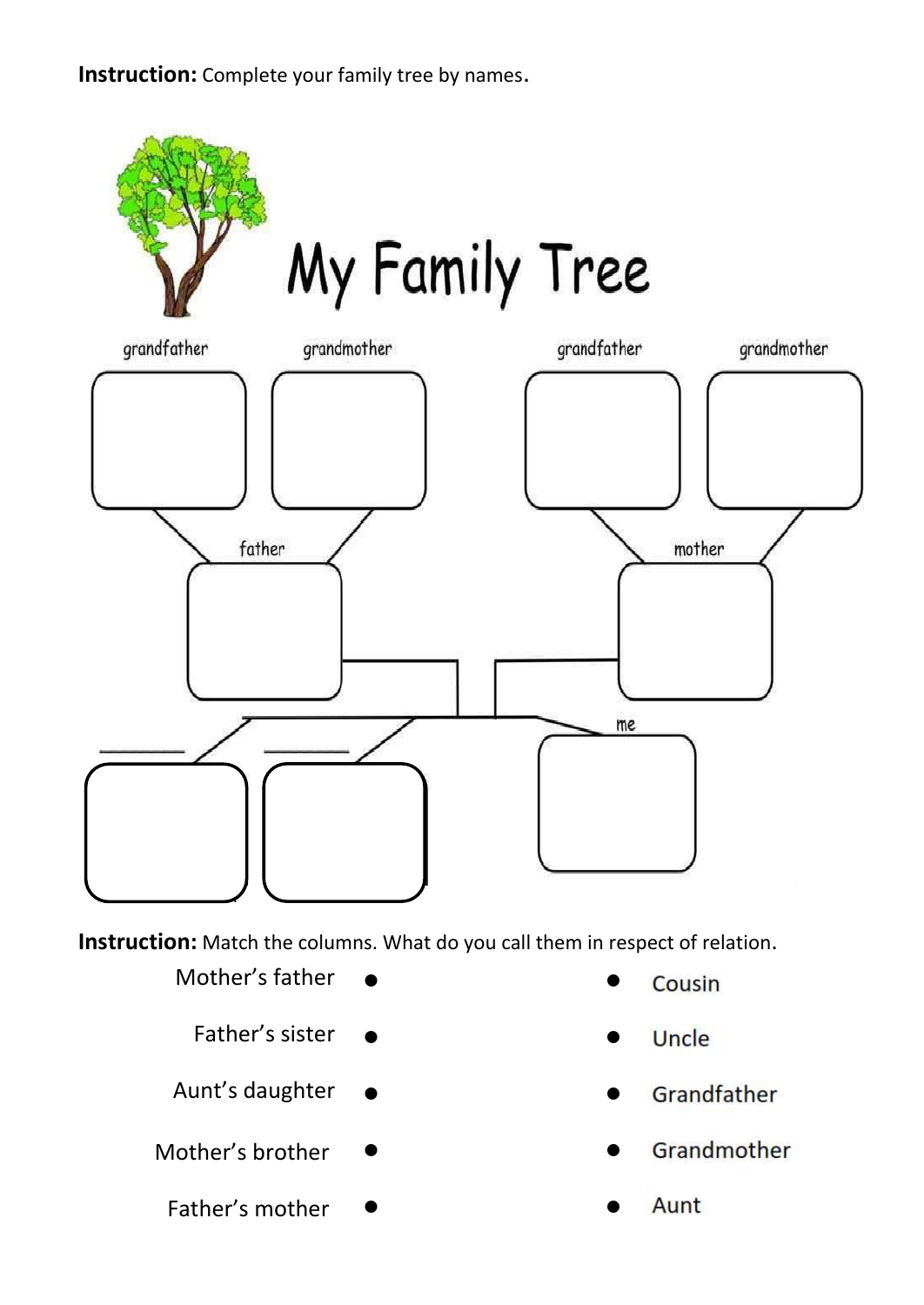**Instruction:** Complete your family tree by names.



**Instruction:** Match the columns. What do you call them in respect of relation.

- Mother's father
	- Father's sister
- Aunt's daughter
- Mother's brother
	- Father's mother
- Cousin
- $\frac{1}{2}$
- Grandfather
- Grandmother
-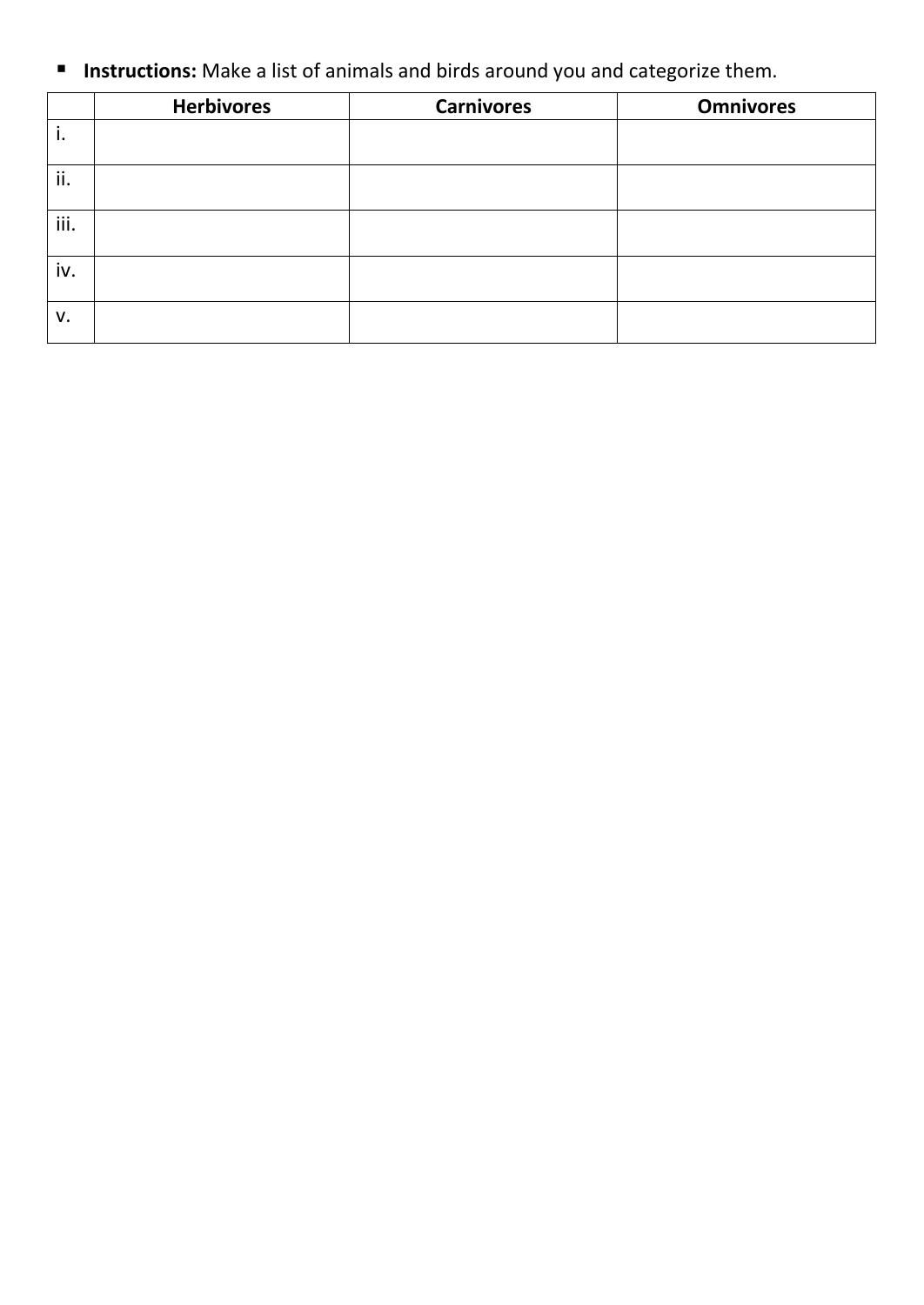**Instructions:** Make a list of animals and birds around you and categorize them.

|      | <b>Herbivores</b> | <b>Carnivores</b> | <b>Omnivores</b> |
|------|-------------------|-------------------|------------------|
| ъ.   |                   |                   |                  |
| ii.  |                   |                   |                  |
| iii. |                   |                   |                  |
| iv.  |                   |                   |                  |
| V.   |                   |                   |                  |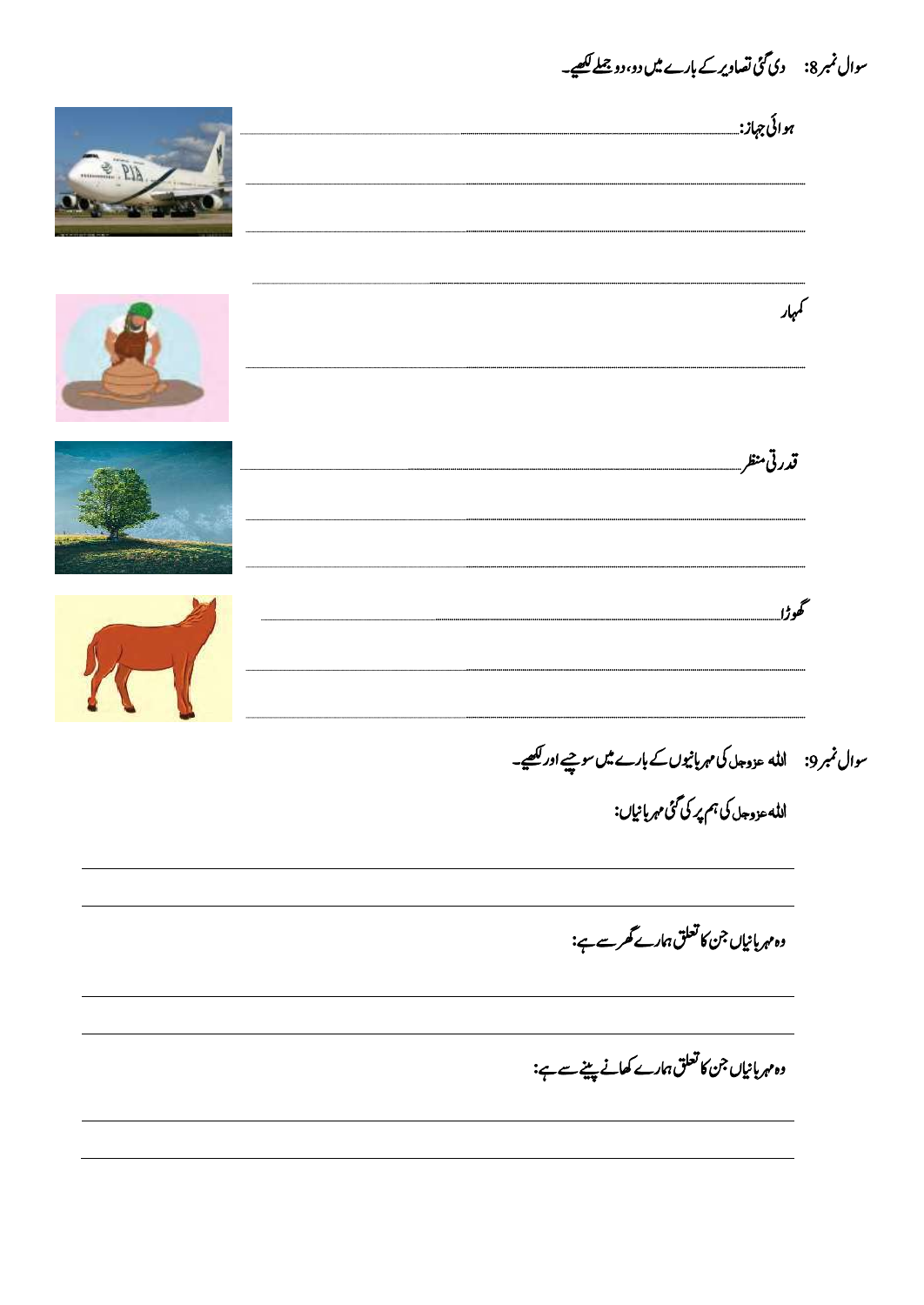سوال نمبر8: دی گئی تصاویر کے بارے میں دو، دو جملے لکھیے۔ **AIR** کمہار قدرتي منظريه گهڻل ا<sub>لله عزوجا کې ہم پر کې گ</sub>ئ مهربانياں: وہ مہربانیاں جن کا تعلق ہمارے گھرسے ہے: وہ مہربانیاں جن کا تعلق ہمارے کھانے پینے سے ہے: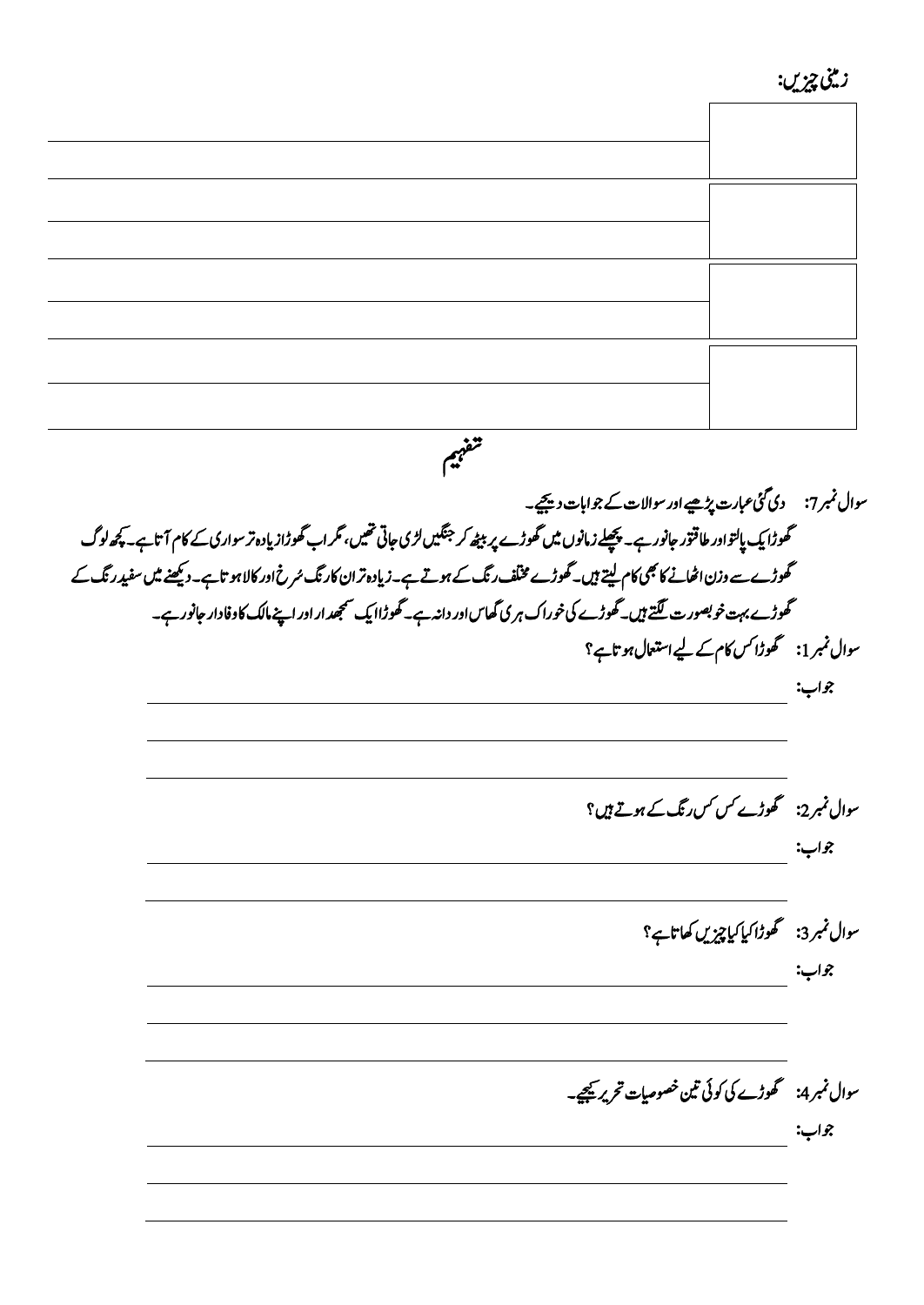زینیم زیچںی:

*میہفت*  سوال نمبر7: دی گئی عبارت پڑھیے اور سوالات کے جوابات دیںچیے۔ گھوڑا پک پالتواور طاقتور جانور ہے۔ پچھلے زمانوں میں گھوڑے پر بیٹھ کر <sup>جنگ</sup>تیں لڑی جاتی تھیں، گر اب گھوڑاز پادہ تر سواری کے کام آتاہے۔ پچھ لوگ گھوڑے سے وزن اٹھانے کا بھی کام لیتے ہیں۔ گھوڑے مخلف رنگ کے ہوتے ہے۔زیادہ تر ان کارنگ سُرخ اور کالا ہو تاہے۔ دیکھنے میں سفید رنگ کے حھوڑے بہت خو بصور ت <u>لگتے</u> ہیں۔گھوڑے کی خوراک ہری گھاس اور داند ہے۔ گھوڑاا یک سمجھد ار اور اپنے مالک کاوفادار جانور ہے۔ سوال نمبر 1: گھوڑا کس کام کے لیے استعال ہو تاہے؟ جواب: سوال نمبر 2: گھوڑے کس کس رنگ کے ہوتے ہیں ؟ وجاب:  $\mathcal{S}_\mathbf{z}$ اب:  $\mathcal{S}_\mathbf{z}$ سوال نمبر3: گھوڑا کیا کیا چیزیں کھاتاہے؟ وجاب:  $\mathcal{S}_\mathbf{z}$ اب:  $\mathcal{S}_\mathbf{z}$ سوال نمبر 4: کھوڑے کی کوئی نین خصوصیات تحریر <u>ی</u>جیے۔ وجاب: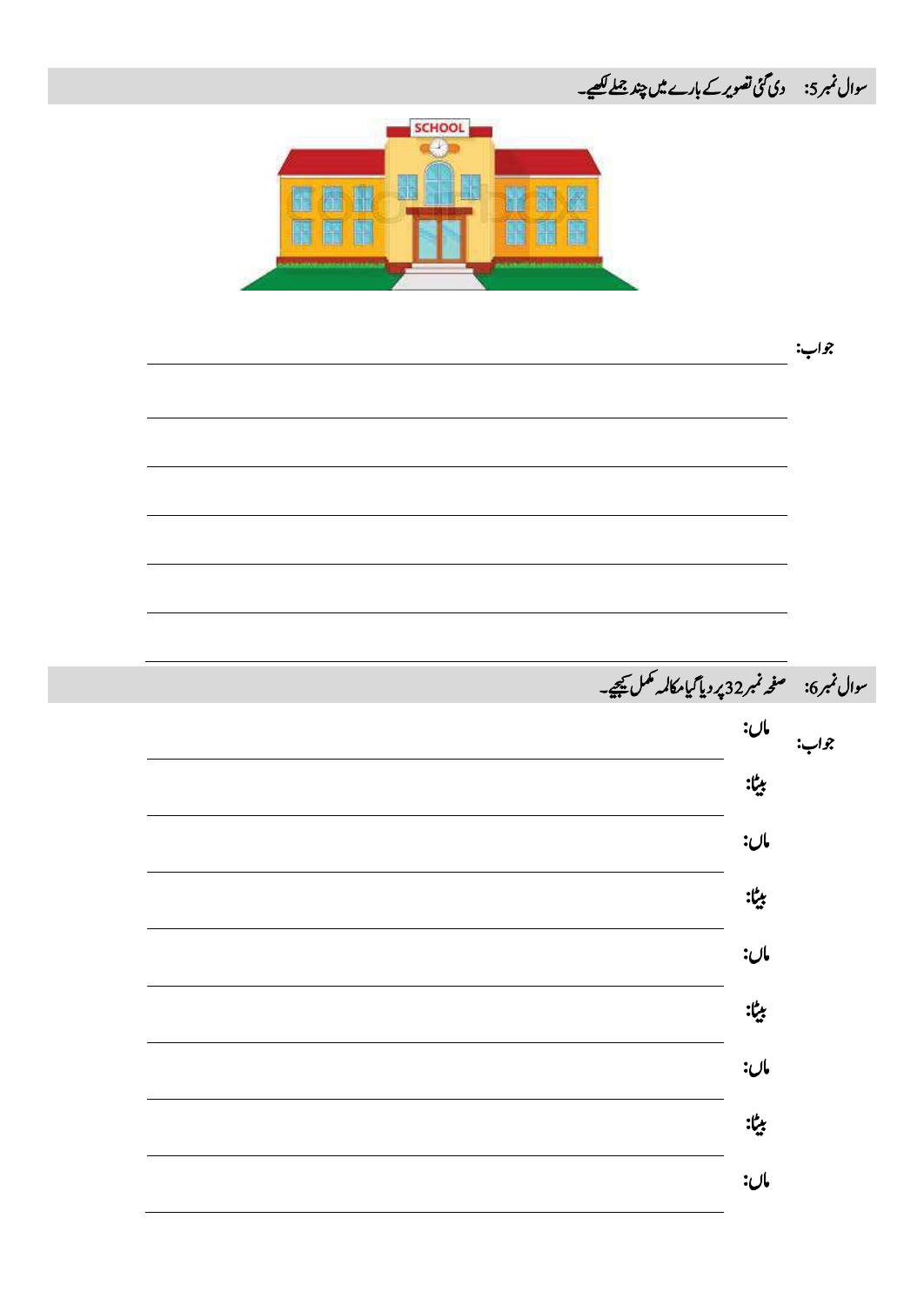سوال نمبر 5: دی گئی تصویر کے بارے میں چند <u>جملے لکھ</u>ے۔ SCHOOL  $a + n$ E Æ H 瞿 N E H H H H وجاب:  $\mathbb{R}^2$ سوال نمبر6: مصفحہ نمبر32 پر دیا گیا مکالمہ مکمل کیجیے۔ امں: جواب: اٹیب: امں: اٹیب: امں: اٹیب: امں: اٹیب: امں: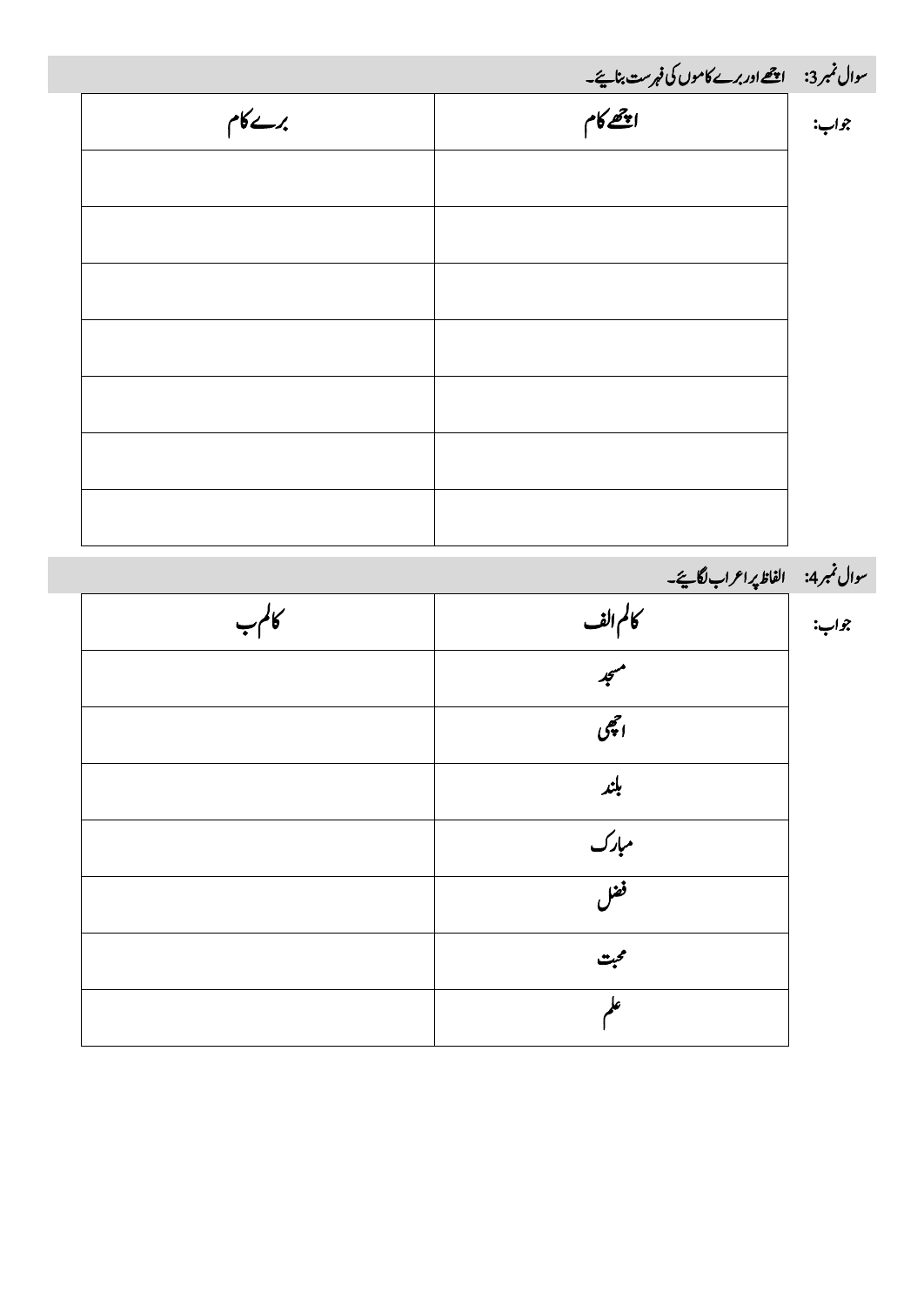| سوال نمبر3: ا <u>چھے اور برے کاموں کی فہرست بنائیے۔</u><br>جواب: <b>پھر</b><br>جواب: پھر |
|------------------------------------------------------------------------------------------|

۔<br>سوال نمبر4: الفاظ پر اعراب لگایئے۔

| كالمہب |               | جواب: |
|--------|---------------|-------|
|        | $\frac{1}{2}$ |       |
|        | اچجى          |       |
|        | بلند          |       |
|        | مبارک<br>فضل  |       |
|        |               |       |
|        | محبت          |       |
|        |               |       |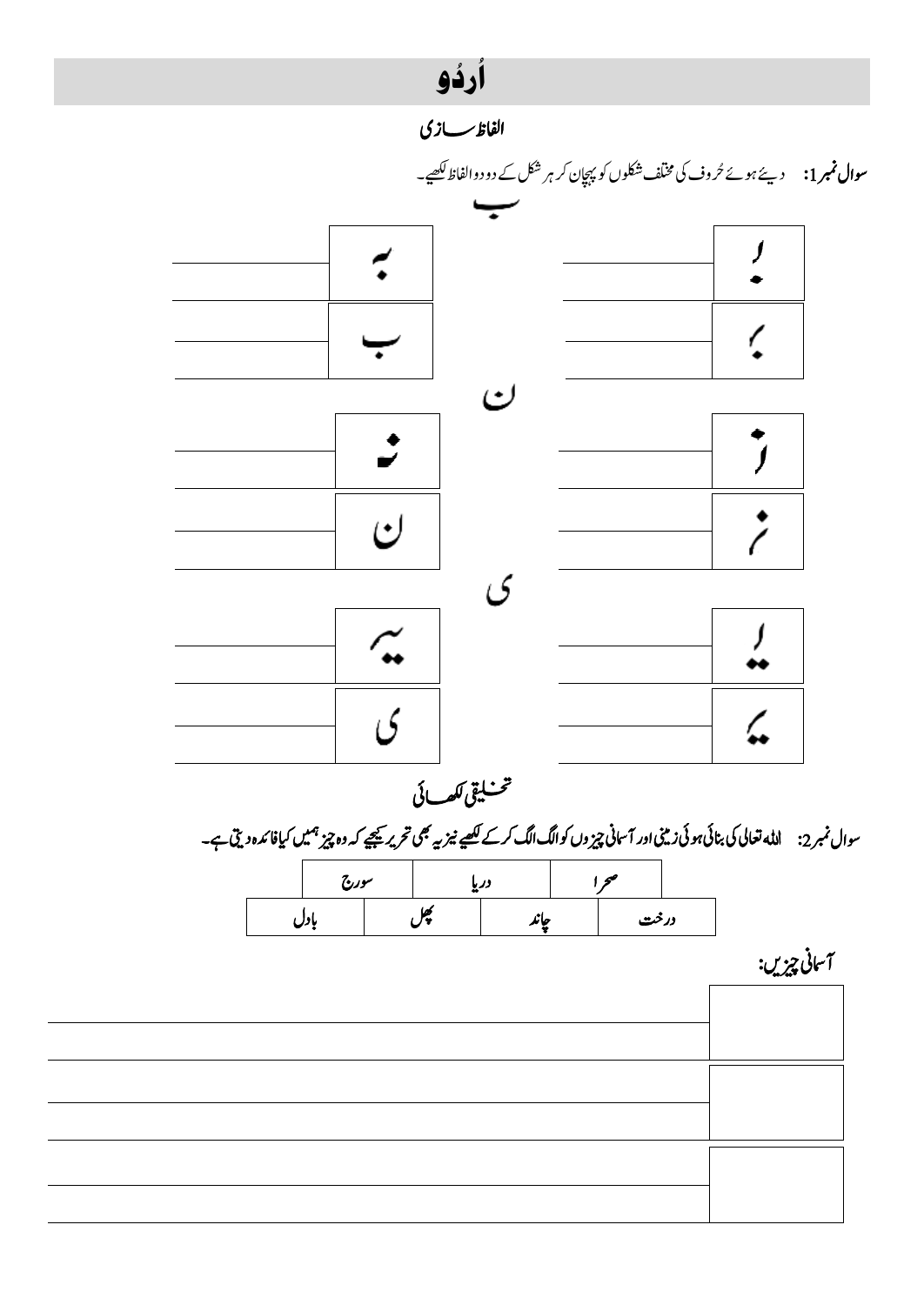#### ارذو ءِ<br>ه ہ<br>ا

*اافلظ اسزی* 



*یقیلخت اھکلیئ* 

سوال نمبر 2: الله تعالی کی بنائی ہوئی زینی اور آسانی چیز وں کوالگ الگ کرکے کھیے نیز یہ بھی کتر یہ چین ہی<br>سوال نمبر 2:

|  | سورج |                | دریا |       | ∼    |  |
|--|------|----------------|------|-------|------|--|
|  |      | w<br><b>JY</b> |      | ما با | درخت |  |

آسانی چیزیں:

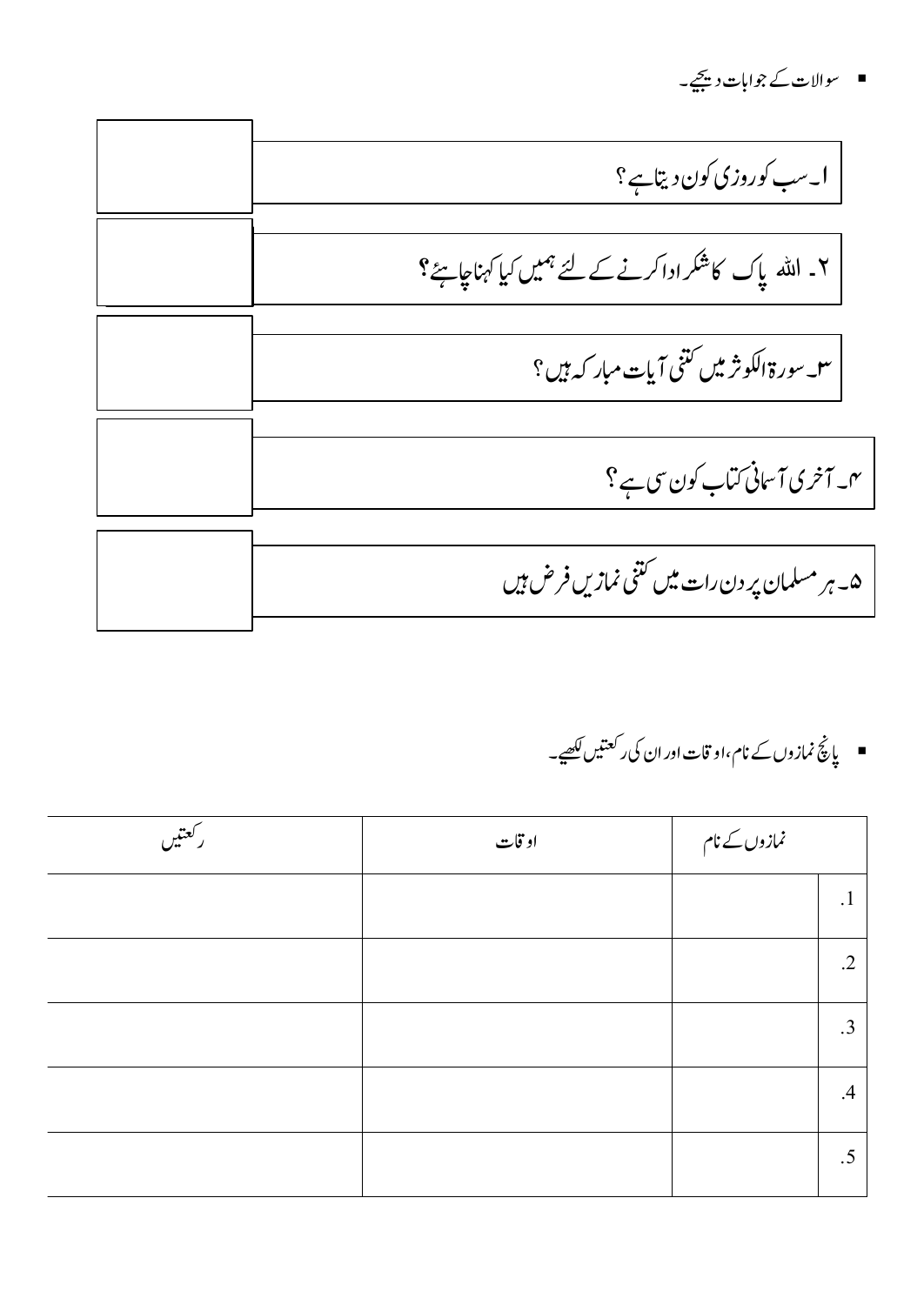■ سوالات کے جوابات دیجیے۔

ا۔ سب کوروزی کون دیتاہے؟ ۲۔ ا<sub>للّٰ</sub> یاک کا شکرادا کرنے کے لئے ہمیں کیا کہناجاہتے؟ س سورۃ الکوثر میں کتنی آیات مبار کہ ہیں؟ م۔آخری آسانی کتاب کون سی ہے ؟ ۵۔ ہر مسلمان پر دن رات میں کتنی نمازیں فرض ہیں

■ یاچؒ نمازوں کے نام،او قات اور ان کی ر<sup>کعتی</sup>ں لکھیے۔

| ركعتيں | او قات | نمازوں کے نام |            |
|--------|--------|---------------|------------|
|        |        |               | $\cdot$ 1  |
|        |        |               | $\cdot$ .2 |
|        |        |               | $\cdot$ 3  |
|        |        |               | .4         |
|        |        |               | $.5\,$     |